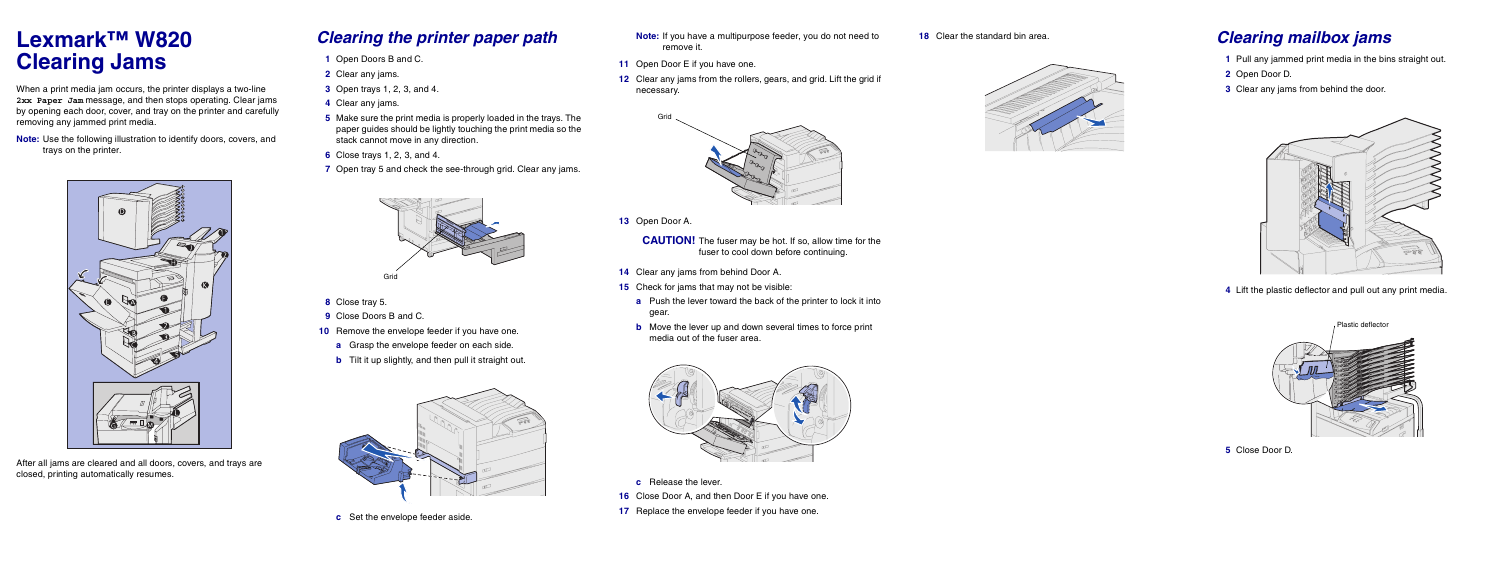# **Lexmark™ W820 Clearing Jams**

When a print media jam occurs, the printer displays a two-line **2xx Paper Jam** message, and then stops operating. Clear jams by opening each door, cover, and tray on the printer and carefully removing any jammed print media.

**Note:** Use the following illustration to identify doors, covers, and trays on the printer.



After all jams are cleared and all doors, covers, and trays are closed, printing automatically resumes.

- **8** Close tray 5.
- **9** Close Doors B and C.
- **10** Remove the envelope feeder if you have one.
	- **a** Grasp the envelope feeder on each side.
	- **b** Tilt it up slightly, and then pull it straight out.



**c** Set the envelope feeder aside.

#### *Clearing the printer paper path*

- **1** Open Doors B and C.
- **2** Clear any jams.
- **3** Open trays 1, 2, 3, and 4.
- **4** Clear any jams.
- **5** Make sure the print media is properly loaded in the trays. The paper guides should be lightly touching the print media so the stack cannot move in any direction.
- **6** Close trays 1, 2, 3, and 4.
- **7** Open tray 5 and check the see-through grid. Clear any jams.

**CAUTION!** The fuser may be hot. If so, allow time for the fuser to cool down before continuing.

- **c** Release the lever.
- **16** Close Door A, and then Door E if you have one.
- **17** Replace the envelope feeder if you have one.



- **Note:** If you have a multipurpose feeder, you do not need to remove it.
- **11** Open Door E if you have one.
- **12** Clear any jams from the rollers, gears, and grid. Lift the grid if necessary.

 **13** Open Door A.

- **14** Clear any jams from behind Door A.
- **15** Check for jams that may not be visible:
	- **a** Push the lever toward the back of the printer to lock it into gear.
	- **b** Move the lever up and down several times to force print media out of the fuser area.



### **<sup>18</sup>** Clear the standard bin area. *Clearing mailbox jams*

- **1** Pull any jammed print media in the bins straight out.
- **2** Open Door D.
- **3** Clear any jams from behind the door.



 **4** Lift the plastic deflector and pull out any print media.

 **5** Close Door D.

- 
-